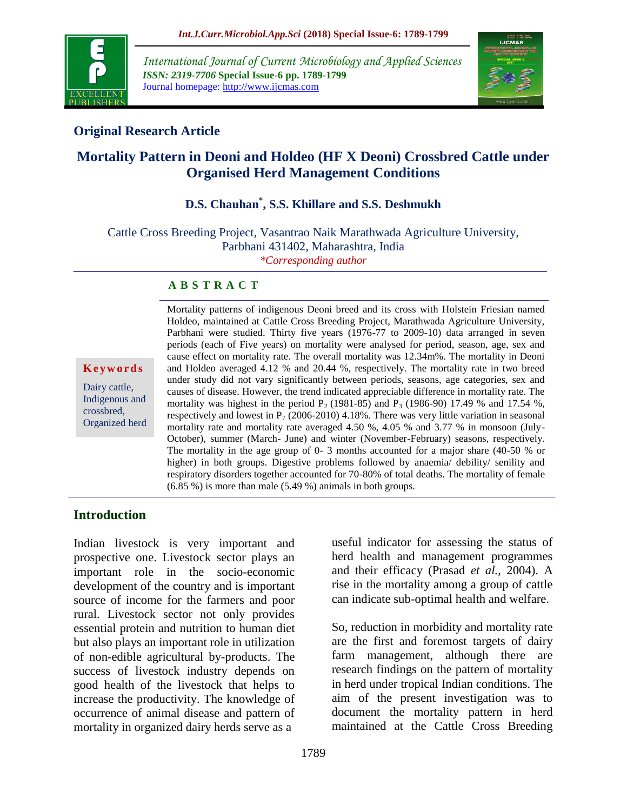

*International Journal of Current Microbiology and Applied Sciences ISSN: 2319-7706* **Special Issue-6 pp. 1789-1799** Journal homepage: http://www.ijcmas.com



# **Original Research Article**

# **Mortality Pattern in Deoni and Holdeo (HF X Deoni) Crossbred Cattle under Organised Herd Management Conditions**

# **D.S. Chauhan\* , S.S. Khillare and S.S. Deshmukh**

Cattle Cross Breeding Project, Vasantrao Naik Marathwada Agriculture University, Parbhani 431402, Maharashtra, India *\*Corresponding author*

#### **A B S T R A C T**

#### **K e y w o r d s**

Dairy cattle, Indigenous and crossbred, Organized herd Mortality patterns of indigenous Deoni breed and its cross with Holstein Friesian named Holdeo, maintained at Cattle Cross Breeding Project, Marathwada Agriculture University, Parbhani were studied. Thirty five years (1976-77 to 2009-10) data arranged in seven periods (each of Five years) on mortality were analysed for period, season, age, sex and cause effect on mortality rate. The overall mortality was 12.34m%. The mortality in Deoni and Holdeo averaged 4.12 % and 20.44 %, respectively. The mortality rate in two breed under study did not vary significantly between periods, seasons, age categories, sex and causes of disease. However, the trend indicated appreciable difference in mortality rate. The mortality was highest in the period  $P_2$  (1981-85) and  $P_3$  (1986-90) 17.49 % and 17.54 %, respectively and lowest in  $P_7$  (2006-2010) 4.18%. There was very little variation in seasonal mortality rate and mortality rate averaged 4.50 %, 4.05 % and 3.77 % in monsoon (July-October), summer (March- June) and winter (November-February) seasons, respectively. The mortality in the age group of 0- 3 months accounted for a major share (40-50 % or higher) in both groups. Digestive problems followed by anaemia/ debility/ senility and respiratory disorders together accounted for 70-80% of total deaths. The mortality of female (6.85 %) is more than male (5.49 %) animals in both groups.

#### **Introduction**

Indian livestock is very important and prospective one. Livestock sector plays an important role in the socio-economic development of the country and is important source of income for the farmers and poor rural. Livestock sector not only provides essential protein and nutrition to human diet but also plays an important role in utilization of non-edible agricultural by-products. The success of livestock industry depends on good health of the livestock that helps to increase the productivity. The knowledge of occurrence of animal disease and pattern of mortality in organized dairy herds serve as a

useful indicator for assessing the status of herd health and management programmes and their efficacy (Prasad *et al.,* 2004). A rise in the mortality among a group of cattle can indicate sub-optimal health and welfare.

So, reduction in morbidity and mortality rate are the first and foremost targets of dairy farm management, although there are research findings on the pattern of mortality in herd under tropical Indian conditions. The aim of the present investigation was to document the mortality pattern in herd maintained at the Cattle Cross Breeding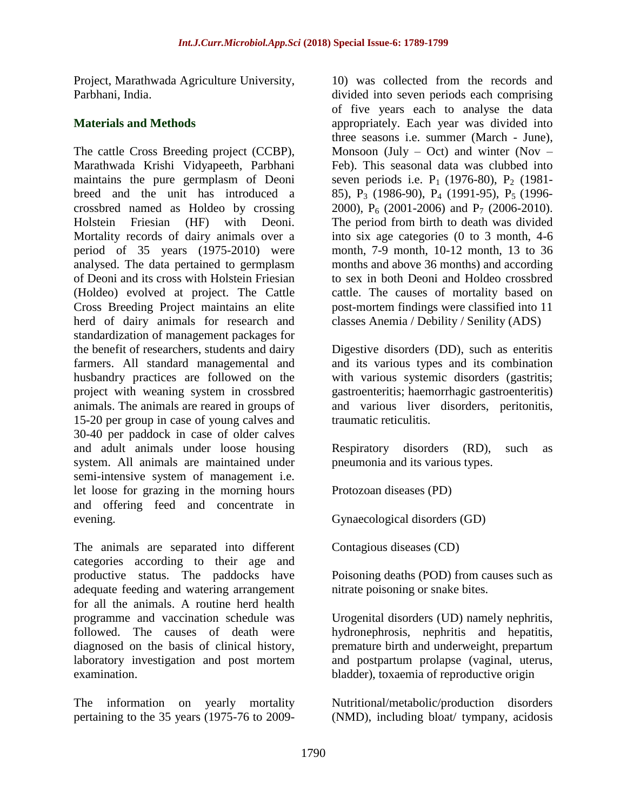Project, Marathwada Agriculture University, Parbhani, India.

# **Materials and Methods**

The cattle Cross Breeding project (CCBP), Marathwada Krishi Vidyapeeth, Parbhani maintains the pure germplasm of Deoni breed and the unit has introduced a crossbred named as Holdeo by crossing Holstein Friesian (HF) with Deoni. Mortality records of dairy animals over a period of 35 years (1975-2010) were analysed. The data pertained to germplasm of Deoni and its cross with Holstein Friesian (Holdeo) evolved at project. The Cattle Cross Breeding Project maintains an elite herd of dairy animals for research and standardization of management packages for the benefit of researchers, students and dairy farmers. All standard managemental and husbandry practices are followed on the project with weaning system in crossbred animals. The animals are reared in groups of 15-20 per group in case of young calves and 30-40 per paddock in case of older calves and adult animals under loose housing system. All animals are maintained under semi-intensive system of management i.e. let loose for grazing in the morning hours and offering feed and concentrate in evening.

The animals are separated into different categories according to their age and productive status. The paddocks have adequate feeding and watering arrangement for all the animals. A routine herd health programme and vaccination schedule was followed. The causes of death were diagnosed on the basis of clinical history, laboratory investigation and post mortem examination.

The information on yearly mortality pertaining to the 35 years (1975-76 to 200910) was collected from the records and divided into seven periods each comprising of five years each to analyse the data appropriately. Each year was divided into three seasons i.e. summer (March - June), Monsoon (July – Oct) and winter (Nov – Feb). This seasonal data was clubbed into seven periods i.e.  $P_1$  (1976-80),  $P_2$  (1981-85), P<sub>3</sub> (1986-90), P<sub>4</sub> (1991-95), P<sub>5</sub> (1996-2000),  $P_6$  (2001-2006) and  $P_7$  (2006-2010). The period from birth to death was divided into six age categories (0 to 3 month, 4-6 month, 7-9 month, 10-12 month, 13 to 36 months and above 36 months) and according to sex in both Deoni and Holdeo crossbred cattle. The causes of mortality based on post-mortem findings were classified into 11 classes Anemia / Debility / Senility (ADS)

Digestive disorders (DD), such as enteritis and its various types and its combination with various systemic disorders (gastritis; gastroenteritis; haemorrhagic gastroenteritis) and various liver disorders, peritonitis, traumatic reticulitis.

Respiratory disorders (RD), such as pneumonia and its various types.

Protozoan diseases (PD)

Gynaecological disorders (GD)

Contagious diseases (CD)

Poisoning deaths (POD) from causes such as nitrate poisoning or snake bites.

Urogenital disorders (UD) namely nephritis, hydronephrosis, nephritis and hepatitis, premature birth and underweight, prepartum and postpartum prolapse (vaginal, uterus, bladder), toxaemia of reproductive origin

Nutritional/metabolic/production disorders (NMD), including bloat/ tympany, acidosis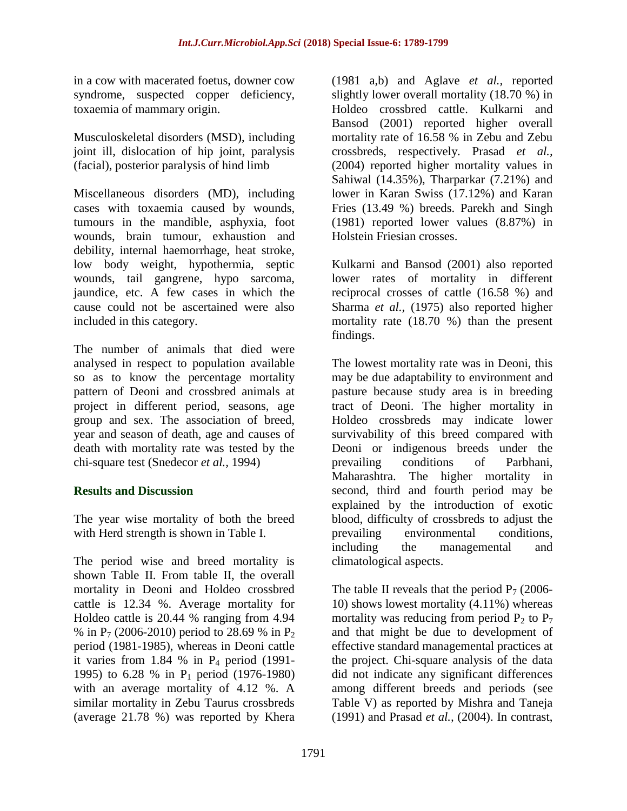in a cow with macerated foetus, downer cow syndrome, suspected copper deficiency, toxaemia of mammary origin.

Musculoskeletal disorders (MSD), including joint ill, dislocation of hip joint, paralysis (facial), posterior paralysis of hind limb

Miscellaneous disorders (MD), including cases with toxaemia caused by wounds, tumours in the mandible, asphyxia, foot wounds, brain tumour, exhaustion and debility, internal haemorrhage, heat stroke, low body weight, hypothermia, septic wounds, tail gangrene, hypo sarcoma, jaundice, etc. A few cases in which the cause could not be ascertained were also included in this category.

The number of animals that died were analysed in respect to population available so as to know the percentage mortality pattern of Deoni and crossbred animals at project in different period, seasons, age group and sex. The association of breed, year and season of death, age and causes of death with mortality rate was tested by the chi-square test (Snedecor *et al.,* 1994)

# **Results and Discussion**

The year wise mortality of both the breed with Herd strength is shown in Table I.

The period wise and breed mortality is shown Table II. From table II, the overall mortality in Deoni and Holdeo crossbred cattle is 12.34 %. Average mortality for Holdeo cattle is 20.44 % ranging from 4.94 % in  $P_7$  (2006-2010) period to 28.69 % in  $P_2$ period (1981-1985), whereas in Deoni cattle it varies from 1.84 % in  $P_4$  period (1991-1995) to 6.28 % in P<sup>1</sup> period (1976-1980) with an average mortality of 4.12 %. A similar mortality in Zebu Taurus crossbreds (average 21.78 %) was reported by Khera

(1981 a,b) and Aglave *et al.,* reported slightly lower overall mortality (18.70 %) in Holdeo crossbred cattle. Kulkarni and Bansod (2001) reported higher overall mortality rate of 16.58 % in Zebu and Zebu crossbreds, respectively. Prasad *et al.,* (2004) reported higher mortality values in Sahiwal (14.35%), Tharparkar (7.21%) and lower in Karan Swiss (17.12%) and Karan Fries (13.49 %) breeds. Parekh and Singh (1981) reported lower values (8.87%) in Holstein Friesian crosses.

Kulkarni and Bansod (2001) also reported lower rates of mortality in different reciprocal crosses of cattle (16.58 %) and Sharma *et al.,* (1975) also reported higher mortality rate (18.70 %) than the present findings.

The lowest mortality rate was in Deoni, this may be due adaptability to environment and pasture because study area is in breeding tract of Deoni. The higher mortality in Holdeo crossbreds may indicate lower survivability of this breed compared with Deoni or indigenous breeds under the prevailing conditions of Parbhani, Maharashtra. The higher mortality in second, third and fourth period may be explained by the introduction of exotic blood, difficulty of crossbreds to adjust the prevailing environmental conditions, including the managemental and climatological aspects.

The table II reveals that the period  $P_7$  (2006-10) shows lowest mortality (4.11%) whereas mortality was reducing from period  $P_2$  to  $P_7$ and that might be due to development of effective standard managemental practices at the project. Chi-square analysis of the data did not indicate any significant differences among different breeds and periods (see Table V) as reported by Mishra and Taneja (1991) and Prasad *et al.,* (2004). In contrast,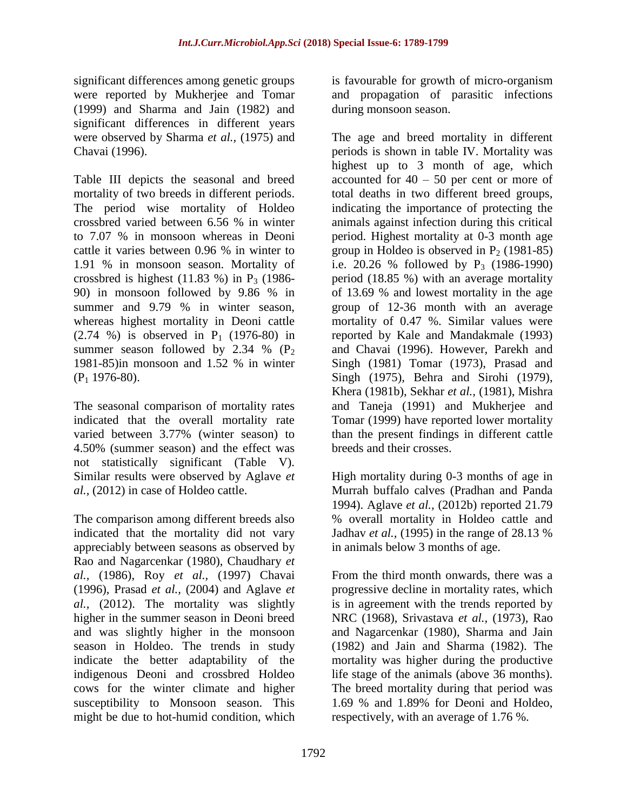significant differences among genetic groups were reported by Mukherjee and Tomar (1999) and Sharma and Jain (1982) and significant differences in different years were observed by Sharma *et al.,* (1975) and Chavai (1996).

Table III depicts the seasonal and breed mortality of two breeds in different periods. The period wise mortality of Holdeo crossbred varied between 6.56 % in winter to 7.07 % in monsoon whereas in Deoni cattle it varies between 0.96 % in winter to 1.91 % in monsoon season. Mortality of crossbred is highest  $(11.83 \%)$  in P<sub>3</sub>  $(1986$ -90) in monsoon followed by 9.86 % in summer and 9.79 % in winter season, whereas highest mortality in Deoni cattle  $(2.74 \%)$  is observed in P<sub>1</sub> (1976-80) in summer season followed by 2.34 %  $(P_2)$ 1981-85)in monsoon and 1.52 % in winter (P<sup>1</sup> 1976-80).

The seasonal comparison of mortality rates indicated that the overall mortality rate varied between 3.77% (winter season) to 4.50% (summer season) and the effect was not statistically significant (Table V). Similar results were observed by Aglave *et al.,* (2012) in case of Holdeo cattle.

The comparison among different breeds also indicated that the mortality did not vary appreciably between seasons as observed by Rao and Nagarcenkar (1980), Chaudhary *et al.,* (1986), Roy *et al.,* (1997) Chavai (1996), Prasad *et al.,* (2004) and Aglave *et al.,* (2012). The mortality was slightly higher in the summer season in Deoni breed and was slightly higher in the monsoon season in Holdeo. The trends in study indicate the better adaptability of the indigenous Deoni and crossbred Holdeo cows for the winter climate and higher susceptibility to Monsoon season. This might be due to hot-humid condition, which

is favourable for growth of micro-organism and propagation of parasitic infections during monsoon season.

The age and breed mortality in different periods is shown in table IV. Mortality was highest up to 3 month of age, which accounted for 40 – 50 per cent or more of total deaths in two different breed groups, indicating the importance of protecting the animals against infection during this critical period. Highest mortality at 0-3 month age group in Holdeo is observed in  $P<sub>2</sub>$  (1981-85) i.e. 20.26 % followed by  $P_3$  (1986-1990) period (18.85 %) with an average mortality of 13.69 % and lowest mortality in the age group of 12-36 month with an average mortality of 0.47 %. Similar values were reported by Kale and Mandakmale (1993) and Chavai (1996). However, Parekh and Singh (1981) Tomar (1973), Prasad and Singh (1975), Behra and Sirohi (1979), Khera (1981b), Sekhar *et al.,* (1981), Mishra and Taneja (1991) and Mukherjee and Tomar (1999) have reported lower mortality than the present findings in different cattle breeds and their crosses.

High mortality during 0-3 months of age in Murrah buffalo calves (Pradhan and Panda 1994). Aglave *et al.,* (2012b) reported 21.79 % overall mortality in Holdeo cattle and Jadhav *et al.,* (1995) in the range of 28.13 % in animals below 3 months of age.

From the third month onwards, there was a progressive decline in mortality rates, which is in agreement with the trends reported by NRC (1968), Srivastava *et al.,* (1973), Rao and Nagarcenkar (1980), Sharma and Jain (1982) and Jain and Sharma (1982). The mortality was higher during the productive life stage of the animals (above 36 months). The breed mortality during that period was 1.69 % and 1.89% for Deoni and Holdeo, respectively, with an average of 1.76 %.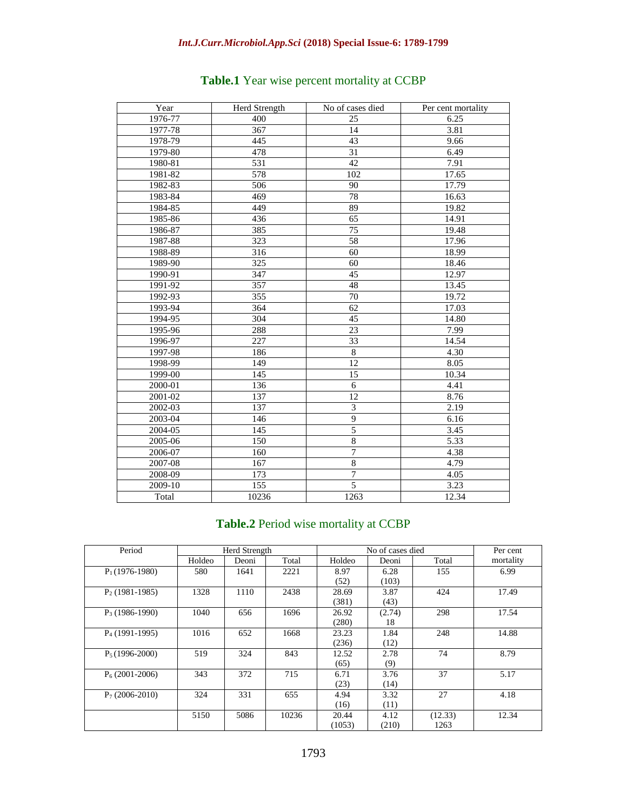| Year    | Herd Strength    | No of cases died | Per cent mortality |
|---------|------------------|------------------|--------------------|
| 1976-77 | 400              | 25               | 6.25               |
| 1977-78 | 367              | 14               | 3.81               |
| 1978-79 | 445              | 43               | 9.66               |
| 1979-80 | 478              | 31               | 6.49               |
| 1980-81 | 531              | 42               | 7.91               |
| 1981-82 | $\overline{578}$ | 102              | 17.65              |
| 1982-83 | 506              | 90               | 17.79              |
| 1983-84 | 469              | 78               | 16.63              |
| 1984-85 | 449              | 89               | 19.82              |
| 1985-86 | 436              | $\overline{65}$  | 14.91              |
| 1986-87 | 385              | 75               | 19.48              |
| 1987-88 | 323              | 58               | 17.96              |
| 1988-89 | 316              | 60               | 18.99              |
| 1989-90 | 325              | 60               | 18.46              |
| 1990-91 | 347              | 45               | 12.97              |
| 1991-92 | 357              | 48               | 13.45              |
| 1992-93 | 355              | 70               | 19.72              |
| 1993-94 | 364              | 62               | 17.03              |
| 1994-95 | 304              | 45               | 14.80              |
| 1995-96 | 288              | 23               | 7.99               |
| 1996-97 | 227              | 33               | 14.54              |
| 1997-98 | 186              | $\overline{8}$   | 4.30               |
| 1998-99 | 149              | $\overline{12}$  | 8.05               |
| 1999-00 | 145              | $\overline{15}$  | 10.34              |
| 2000-01 | 136              | 6                | 4.41               |
| 2001-02 | 137              | 12               | 8.76               |
| 2002-03 | 137              | 3                | 2.19               |
| 2003-04 | 146              | 9                | 6.16               |
| 2004-05 | 145              | 5                | 3.45               |
| 2005-06 | 150              | $\overline{8}$   | 5.33               |
| 2006-07 | 160              | $\overline{7}$   | 4.38               |
| 2007-08 | 167              | $\overline{8}$   | 4.79               |
| 2008-09 | 173              | $\tau$           | 4.05               |
| 2009-10 | 155              | $\overline{5}$   | 3.23               |
| Total   | 10236            | 1263             | 12.34              |

# **Table.1** Year wise percent mortality at CCBP

### **Table.2** Period wise mortality at CCBP

| Period           |        | Herd Strength |       |        | No of cases died |         | Per cent  |
|------------------|--------|---------------|-------|--------|------------------|---------|-----------|
|                  | Holdeo | Deoni         | Total | Holdeo | Deoni            | Total   | mortality |
| $P_1(1976-1980)$ | 580    | 1641          | 2221  | 8.97   | 6.28             | 155     | 6.99      |
|                  |        |               |       | (52)   | (103)            |         |           |
| $P_2(1981-1985)$ | 1328   | 1110          | 2438  | 28.69  | 3.87             | 424     | 17.49     |
|                  |        |               |       | (381)  | (43)             |         |           |
| $P_3(1986-1990)$ | 1040   | 656           | 1696  | 26.92  | (2.74)           | 298     | 17.54     |
|                  |        |               |       | (280)  | 18               |         |           |
| $P_4(1991-1995)$ | 1016   | 652           | 1668  | 23.23  | 1.84             | 248     | 14.88     |
|                  |        |               |       | (236)  | (12)             |         |           |
| $P_5(1996-2000)$ | 519    | 324           | 843   | 12.52  | 2.78             | 74      | 8.79      |
|                  |        |               |       | (65)   | (9)              |         |           |
| $P_6(2001-2006)$ | 343    | 372           | 715   | 6.71   | 3.76             | 37      | 5.17      |
|                  |        |               |       | (23)   | (14)             |         |           |
| $P_7(2006-2010)$ | 324    | 331           | 655   | 4.94   | 3.32             | 27      | 4.18      |
|                  |        |               |       | (16)   | (11)             |         |           |
|                  | 5150   | 5086          | 10236 | 20.44  | 4.12             | (12.33) | 12.34     |
|                  |        |               |       | (1053) | (210)            | 1263    |           |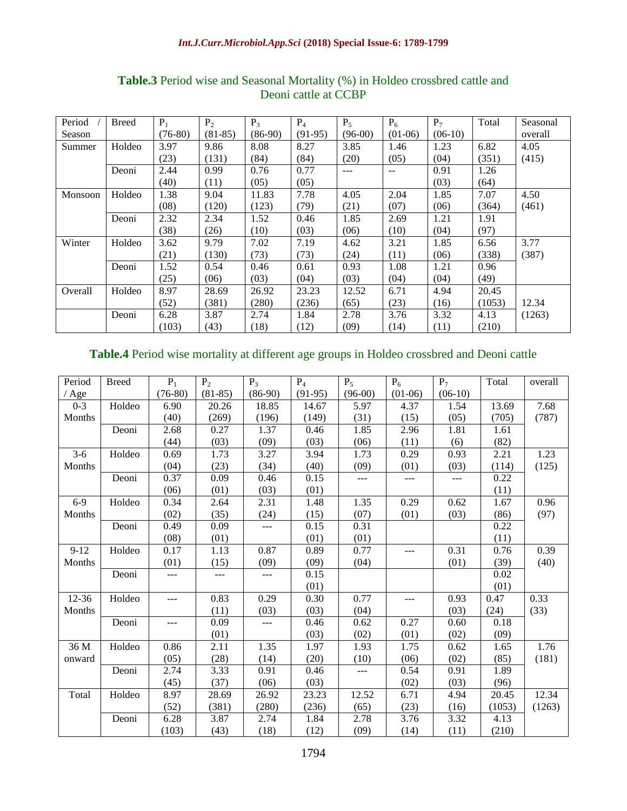| Period  | <b>Breed</b> | $P_1$     | $P_2$     | $P_3$     | $P_4$     | $P_5$     | $P_6$     | $P_7$     | Total  | Seasonal |
|---------|--------------|-----------|-----------|-----------|-----------|-----------|-----------|-----------|--------|----------|
| Season  |              | $(76-80)$ | $(81-85)$ | $(86-90)$ | $(91-95)$ | $(96-00)$ | $(01-06)$ | $(06-10)$ |        | overall  |
| Summer  | Holdeo       | 3.97      | 9.86      | 8.08      | 8.27      | 3.85      | 1.46      | 1.23      | 6.82   | 4.05     |
|         |              | (23)      | (131)     | (84)      | (84)      | (20)      | (05)      | (04)      | (351)  | (415)    |
|         | Deoni        | 2.44      | 0.99      | 0.76      | 0.77      | $---$     | $- -$     | 0.91      | 1.26   |          |
|         |              | (40)      | (11)      | (05)      | (05)      |           |           | (03)      | (64)   |          |
| Monsoon | Holdeo       | 1.38      | 9.04      | 11.83     | 7.78      | 4.05      | 2.04      | 1.85      | 7.07   | 4.50     |
|         |              | (08)      | (120)     | (123)     | (79)      | (21)      | (07)      | (06)      | (364)  | (461)    |
|         | Deoni        | 2.32      | 2.34      | 1.52      | 0.46      | 1.85      | 2.69      | 1.21      | 1.91   |          |
|         |              | (38)      | (26)      | (10)      | (03)      | (06)      | (10)      | (04)      | (97)   |          |
| Winter  | Holdeo       | 3.62      | 9.79      | 7.02      | 7.19      | 4.62      | 3.21      | 1.85      | 6.56   | 3.77     |
|         |              | (21)      | (130)     | (73)      | (73)      | (24)      | (11)      | (06)      | (338)  | (387)    |
|         | Deoni        | 1.52      | 0.54      | 0.46      | 0.61      | 0.93      | 1.08      | 1.21      | 0.96   |          |
|         |              | (25)      | (06)      | (03)      | (04)      | (03)      | (04)      | (04)      | (49)   |          |
| Overall | Holdeo       | 8.97      | 28.69     | 26.92     | 23.23     | 12.52     | 6.71      | 4.94      | 20.45  |          |
|         |              | (52)      | (381)     | (280)     | (236)     | (65)      | (23)      | (16)      | (1053) | 12.34    |
|         | Deoni        | 6.28      | 3.87      | 2.74      | 1.84      | 2.78      | 3.76      | 3.32      | 4.13   | (1263)   |
|         |              | (103)     | (43)      | (18)      | (12)      | (09)      | (14)      | (11)      | (210)  |          |

# **Table.3** Period wise and Seasonal Mortality (%) in Holdeo crossbred cattle and Deoni cattle at CCBP

# **Table.4** Period wise mortality at different age groups in Holdeo crossbred and Deoni cattle

| Period   | <b>Breed</b> | $P_1$     | P <sub>2</sub> | $P_3$     | $P_4$     | $P_5$     | $P_6$     | $P_7$     | Total  | overall |
|----------|--------------|-----------|----------------|-----------|-----------|-----------|-----------|-----------|--------|---------|
| $'$ Age  |              | $(76-80)$ | $(81-85)$      | $(86-90)$ | $(91-95)$ | $(96-00)$ | $(01-06)$ | $(06-10)$ |        |         |
| $0 - 3$  | Holdeo       | 6.90      | 20.26          | 18.85     | 14.67     | 5.97      | 4.37      | 1.54      | 13.69  | 7.68    |
| Months   |              | (40)      | (269)          | (196)     | (149)     | (31)      | (15)      | (05)      | (705)  | (787)   |
|          | Deoni        | 2.68      | 0.27           | 1.37      | 0.46      | 1.85      | 2.96      | 1.81      | 1.61   |         |
|          |              | (44)      | (03)           | (09)      | (03)      | (06)      | (11)      | (6)       | (82)   |         |
| $3-6$    | Holdeo       | 0.69      | 1.73           | 3.27      | 3.94      | 1.73      | 0.29      | 0.93      | 2.21   | 1.23    |
| Months   |              | (04)      | (23)           | (34)      | (40)      | (09)      | (01)      | (03)      | (114)  | (125)   |
|          | Deoni        | 0.37      | 0.09           | 0.46      | 0.15      | $---$     | ---       | $---$     | 0.22   |         |
|          |              | (06)      | (01)           | (03)      | (01)      |           |           |           | (11)   |         |
| $6-9$    | Holdeo       | 0.34      | 2.64           | 2.31      | 1.48      | 1.35      | 0.29      | 0.62      | 1.67   | 0.96    |
| Months   |              | (02)      | (35)           | (24)      | (15)      | (07)      | (01)      | (03)      | (86)   | (97)    |
|          | Deoni        | 0.49      | 0.09           | $---$     | 0.15      | 0.31      |           |           | 0.22   |         |
|          |              | (08)      | (01)           |           | (01)      | (01)      |           |           | (11)   |         |
| $9 - 12$ | Holdeo       | 0.17      | 1.13           | 0.87      | 0.89      | 0.77      | ---       | 0.31      | 0.76   | 0.39    |
| Months   |              | (01)      | (15)           | (09)      | (09)      | (04)      |           | (01)      | (39)   | (40)    |
|          | Deoni        | ---       | ---            | ---       | 0.15      |           |           |           | 0.02   |         |
|          |              |           |                |           | (01)      |           |           |           | (01)   |         |
| 12-36    | Holdeo       | $---$     | 0.83           | 0.29      | 0.30      | 0.77      | $---$     | 0.93      | 0.47   | 0.33    |
| Months   |              |           | (11)           | (03)      | (03)      | (04)      |           | (03)      | (24)   | (33)    |
|          | Deoni        | ---       | 0.09           | ---       | 0.46      | 0.62      | 0.27      | 0.60      | 0.18   |         |
|          |              |           | (01)           |           | (03)      | (02)      | (01)      | (02)      | (09)   |         |
| 36 M     | Holdeo       | 0.86      | 2.11           | 1.35      | 1.97      | 1.93      | 1.75      | 0.62      | 1.65   | 1.76    |
| onward   |              | (05)      | (28)           | (14)      | (20)      | (10)      | (06)      | (02)      | (85)   | (181)   |
|          | Deoni        | 2.74      | 3.33           | 0.91      | 0.46      |           | 0.54      | 0.91      | 1.89   |         |
|          |              | (45)      | (37)           | (06)      | (03)      |           | (02)      | (03)      | (96)   |         |
| Total    | Holdeo       | 8.97      | 28.69          | 26.92     | 23.23     | 12.52     | 6.71      | 4.94      | 20.45  | 12.34   |
|          |              | (52)      | (381)          | (280)     | (236)     | (65)      | (23)      | (16)      | (1053) | (1263)  |
|          | Deoni        | 6.28      | 3.87           | 2.74      | 1.84      | 2.78      | 3.76      | 3.32      | 4.13   |         |
|          |              | (103)     | (43)           | (18)      | (12)      | (09)      | (14)      | (11)      | (210)  |         |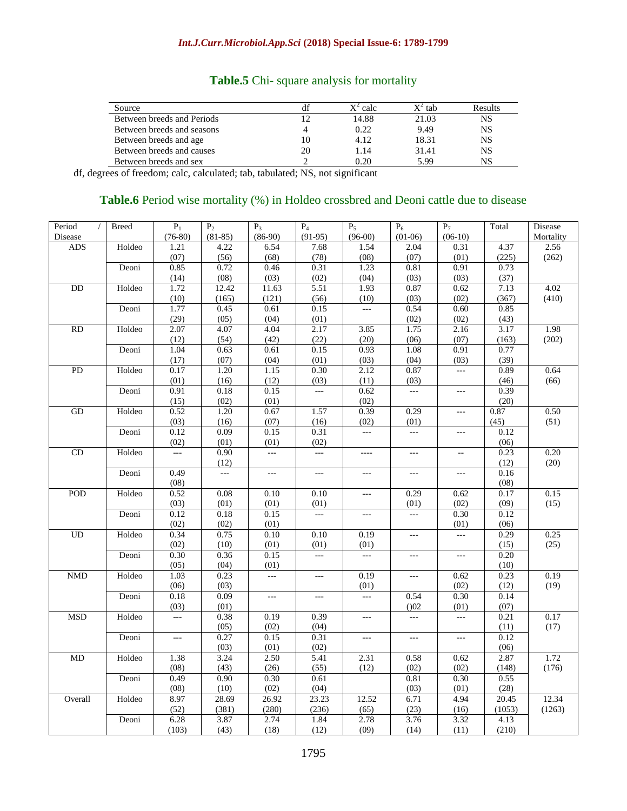| Source                     |    | $X^2$ calc | $X^2$ tab | Results |
|----------------------------|----|------------|-----------|---------|
| Between breeds and Periods |    | 14.88      | 21.03     | NS      |
| Between breeds and seasons |    | 0.22       | 9.49      | NS      |
| Between breeds and age     | 10 | 4.12       | 18.31     | NS      |
| Between breeds and causes  | 20 | 1.14       | 31.41     | NS      |
| Between breeds and sex     |    | 0.20       | 5.99      | NS      |

### **Table.5** Chi- square analysis for mortality

df, degrees of freedom; calc, calculated; tab, tabulated; NS, not significant

### Table.6 Period wise mortality (%) in Holdeo crossbred and Deoni cattle due to disease

| Period<br>$\sqrt{2}$ | <b>Breed</b> | $P_1$                              | P <sub>2</sub>         | $P_3$                              | $P_4$                              | $P_5$                              | $P_6$                              | $P_7$                       | Total        | Disease   |
|----------------------|--------------|------------------------------------|------------------------|------------------------------------|------------------------------------|------------------------------------|------------------------------------|-----------------------------|--------------|-----------|
| Disease              |              | $(76-80)$                          | $(81-85)$              | $(86-90)$                          | $(91-95)$                          | $(96-00)$                          | $(01-06)$                          | $(06-10)$                   |              | Mortality |
| ADS                  | Holdeo       | 1.21                               | 4.22                   | 6.54                               | 7.68                               | 1.54                               | 2.04                               | 0.31                        | 4.37         | 2.56      |
|                      |              | (07)                               | (56)                   | (68)                               | (78)                               | (08)                               | (07)                               | (01)                        | (225)        | (262)     |
|                      | Deoni        | 0.85                               | 0.72                   | 0.46                               | 0.31                               | 1.23                               | 0.81                               | 0.91                        | 0.73         |           |
|                      |              | (14)                               | (08)                   | (03)                               | (02)                               | (04)                               | (03)                               | (03)                        | (37)         |           |
| DD                   | Holdeo       | 1.72                               | 12.42                  | 11.63                              | 5.51                               | 1.93                               | 0.87                               | 0.62                        | 7.13         | 4.02      |
|                      |              | (10)                               | (165)                  | (121)                              | (56)                               | (10)                               | (03)                               | (02)                        | (367)        | (410)     |
|                      | Deoni        | 1.77                               | 0.45                   | 0.61                               | 0.15                               | LL.                                | 0.54                               | 0.60                        | 0.85         |           |
|                      |              | (29)                               | (05)                   | (04)                               | (01)                               |                                    | (02)                               | (02)                        | (43)         |           |
| RD                   | Holdeo       | 2.07                               | 4.07                   | 4.04                               | 2.17                               | 3.85                               | 1.75                               | 2.16                        | 3.17         | 1.98      |
|                      |              | (12)                               | (54)                   | (42)                               | (22)                               | (20)                               | (06)                               | (07)                        | (163)        | (202)     |
|                      | Deoni        | 1.04                               | 0.63                   | 0.61                               | 0.15                               | 0.93                               | 1.08                               | 0.91                        | 0.77         |           |
|                      |              | (17)                               | (07)                   | (04)                               | (01)                               | (03)                               | (04)                               | (03)                        | (39)         |           |
| PD                   | Holdeo       | 0.17                               | 1.20                   | 1.15                               | 0.30                               | 2.12                               | 0.87                               | $\overline{a}$              | 0.89         | 0.64      |
|                      |              | (01)                               | (16)                   | (12)                               | (03)                               | (11)                               | (03)                               |                             | (46)         | (66)      |
|                      | Deoni        | 0.91                               | 0.18                   | 0.15                               | $\overline{a}$                     | 0.62                               | $\overline{a}$                     | $\overline{a}$              | 0.39         |           |
|                      |              | (15)                               | (02)                   | (01)                               |                                    | (02)                               |                                    |                             | (20)         |           |
| GD                   | Holdeo       | 0.52                               | 1.20                   | 0.67                               | 1.57                               | 0.39                               | 0.29                               | $\mathbb{L} \to \mathbb{R}$ | 0.87         | 0.50      |
|                      |              | (03)                               | (16)                   | (07)                               | (16)                               | (02)                               | (01)                               |                             | (45)         | (51)      |
|                      | Deoni        | 0.12                               | 0.09                   | 0.15                               | 0.31                               | alar<br>K                          | $\overline{a}$                     | $\overline{a}$              | 0.12         |           |
| CD                   |              | (02)                               | (01)                   | (01)                               | (02)                               |                                    |                                    |                             | (06)         | 0.20      |
|                      | Holdeo       | $\mathbb{L} \mathbb{L} \mathbb{L}$ | 0.90                   | $\overline{\phantom{a}}$           | $\mathbb{L} \mathbb{L} \mathbb{L}$ | ----                               | $\scriptstyle\cdots$               | $\overline{\phantom{a}}$    | 0.23         |           |
|                      |              | 0.49                               | (12)<br>$\overline{a}$ |                                    | $\overline{a}$                     | $\overline{a}$                     |                                    |                             | (12)         | (20)      |
|                      | Deoni        | (08)                               |                        | $\mathbb{L} \mathbb{L} \mathbb{L}$ |                                    |                                    | $\overline{a}$                     | $\overline{a}$              | 0.16<br>(08) |           |
| POD                  | Holdeo       | 0.52                               | 0.08                   | 0.10                               | 0.10                               | $\mathbb{L} \mathbb{L} \mathbb{L}$ | 0.29                               | 0.62                        | 0.17         | 0.15      |
|                      |              | (03)                               | (01)                   | (01)                               | (01)                               |                                    | (01)                               | (02)                        | (09)         | (15)      |
|                      | Deoni        | 0.12                               | 0.18                   | 0.15                               | $\overline{\phantom{a}}$           | $\mathbb{L} \mathbb{L} \mathbb{L}$ | $\overline{a}$                     | 0.30                        | 0.12         |           |
|                      |              | (02)                               | (02)                   | (01)                               |                                    |                                    |                                    | (01)                        | (06)         |           |
| UD                   | Holdeo       | 0.34                               | 0.75                   | 0.10                               | 0.10                               | 0.19                               | $\overline{a}$                     | $\overline{a}$              | 0.29         | 0.25      |
|                      |              | (02)                               | (10)                   | (01)                               | (01)                               | (01)                               |                                    |                             | (15)         | (25)      |
|                      | Deoni        | 0.30                               | 0.36                   | 0.15                               | $\overline{a}$                     | $\overline{a}$                     | $\overline{a}$                     | $\overline{a}$              | 0.20         |           |
|                      |              | (05)                               | (04)                   | (01)                               |                                    |                                    |                                    |                             | (10)         |           |
| <b>NMD</b>           | Holdeo       | 1.03                               | 0.23                   | $\overline{\phantom{a}}$           | $\overline{a}$                     | 0.19                               | $\overline{a}$                     | 0.62                        | 0.23         | 0.19      |
|                      |              | (06)                               | (03)                   |                                    |                                    | (01)                               |                                    | (02)                        | (12)         | (19)      |
|                      | Deoni        | 0.18                               | 0.09                   | $\mathbb{L} \mathbb{L} \mathbb{L}$ | $---$                              | $\overline{a}$                     | 0.54                               | 0.30                        | 0.14         |           |
|                      |              | (03)                               | (01)                   |                                    |                                    |                                    | (002)                              | (01)                        | (07)         |           |
| <b>MSD</b>           | Holdeo       | $\mathbb{L} \mathbb{L} \mathbb{L}$ | 0.38                   | 0.19                               | 0.39                               | $\overline{a}$                     | $\mathbb{L} \mathbb{L} \mathbb{L}$ | $\bar{\omega}$              | 0.21         | 0.17      |
|                      |              |                                    | (05)                   | (02)                               | (04)                               |                                    |                                    |                             | (11)         | (17)      |
|                      | Deoni        | $\overline{a}$                     | 0.27                   | 0.15                               | 0.31                               | $\sim$ $\sim$ $\sim$               | $\overline{a}$                     | $\mathbb{L} \to \mathbb{R}$ | 0.12         |           |
|                      |              |                                    | (03)                   | (01)                               | (02)                               |                                    |                                    |                             | (06)         |           |
| MD                   | Holdeo       | 1.38                               | 3.24                   | 2.50                               | 5.41                               | 2.31                               | 0.58                               | 0.62                        | 2.87         | 1.72      |
|                      |              | (08)                               | (43)                   | (26)                               | (55)                               | (12)                               | (02)                               | (02)                        | (148)        | (176)     |
|                      | Deoni        | 0.49                               | 0.90                   | 0.30                               | 0.61                               |                                    | 0.81                               | 0.30                        | 0.55         |           |
|                      |              | (08)                               | (10)                   | (02)                               | (04)                               |                                    | (03)                               | (01)                        | (28)         |           |
| Overall              | Holdeo       | 8.97                               | 28.69                  | 26.92                              | 23.23                              | 12.52                              | 6.71                               | 4.94                        | 20.45        | 12.34     |
|                      |              | (52)                               | (381)                  | (280)                              | (236)                              | (65)                               | (23)                               | (16)                        | (1053)       | (1263)    |
|                      | Deoni        | 6.28                               | 3.87                   | 2.74                               | 1.84                               | 2.78                               | 3.76                               | 3.32                        | 4.13         |           |
|                      |              | (103)                              | (43)                   | (18)                               | (12)                               | (09)                               | (14)                               | (11)                        | (210)        |           |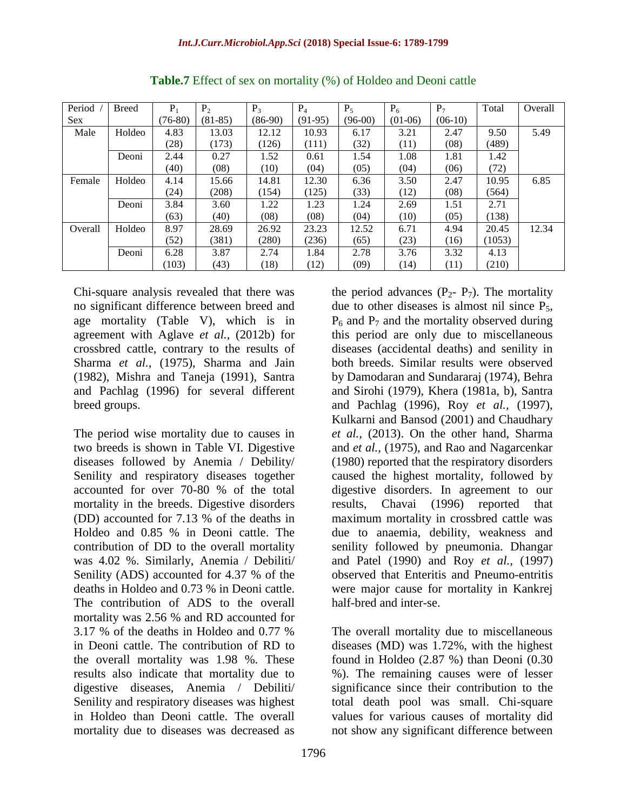| Period  | <b>Breed</b> | $P_1$     | P <sub>2</sub> | $P_3$     | $P_4$     | $P_5$     | $P_6$     | $P_7$     | Total  | Overall |
|---------|--------------|-----------|----------------|-----------|-----------|-----------|-----------|-----------|--------|---------|
| Sex.    |              | $(76-80)$ | $(81-85)$      | $(86-90)$ | $(91-95)$ | $(96-00)$ | $(01-06)$ | $(06-10)$ |        |         |
| Male    | Holdeo       | 4.83      | 13.03          | 12.12     | 10.93     | 6.17      | 3.21      | 2.47      | 9.50   | 5.49    |
|         |              | (28)      | (173)          | (126)     | (111)     | (32)      | (11)      | (08)      | (489)  |         |
|         | Deoni        | 2.44      | 0.27           | 1.52      | 0.61      | 1.54      | 1.08      | 1.81      | 1.42   |         |
|         |              | (40)      | (08)           | (10)      | (04)      | (05)      | (04)      | (06)      | (72)   |         |
| Female  | Holdeo       | 4.14      | 15.66          | 14.81     | 12.30     | 6.36      | 3.50      | 2.47      | 10.95  | 6.85    |
|         |              | (24)      | (208)          | (154)     | (125)     | (33)      | (12)      | (08)      | (564)  |         |
|         | Deoni        | 3.84      | 3.60           | 1.22      | 1.23      | 1.24      | 2.69      | 1.51      | 2.71   |         |
|         |              | (63)      | (40)           | (08)      | (08)      | (04)      | (10)      | (05)      | (138)  |         |
| Overall | Holdeo       | 8.97      | 28.69          | 26.92     | 23.23     | 12.52     | 6.71      | 4.94      | 20.45  | 12.34   |
|         |              | (52)      | (381)          | (280)     | (236)     | (65)      | (23)      | (16)      | (1053) |         |
|         | Deoni        | 6.28      | 3.87           | 2.74      | 1.84      | 2.78      | 3.76      | 3.32      | 4.13   |         |
|         |              | (103)     | (43)           | (18)      | (12)      | (09)      | (14)      | (11)      | (210)  |         |

**Table.7** Effect of sex on mortality (%) of Holdeo and Deoni cattle

Chi-square analysis revealed that there was no significant difference between breed and age mortality (Table V), which is in agreement with Aglave *et al.,* (2012b) for crossbred cattle, contrary to the results of Sharma *et al.,* (1975), Sharma and Jain (1982), Mishra and Taneja (1991), Santra and Pachlag (1996) for several different breed groups.

The period wise mortality due to causes in two breeds is shown in Table VI. Digestive diseases followed by Anemia / Debility/ Senility and respiratory diseases together accounted for over 70-80 % of the total mortality in the breeds. Digestive disorders (DD) accounted for 7.13 % of the deaths in Holdeo and 0.85 % in Deoni cattle. The contribution of DD to the overall mortality was 4.02 %. Similarly, Anemia / Debiliti/ Senility (ADS) accounted for 4.37 % of the deaths in Holdeo and 0.73 % in Deoni cattle. The contribution of ADS to the overall mortality was 2.56 % and RD accounted for 3.17 % of the deaths in Holdeo and 0.77 % in Deoni cattle. The contribution of RD to the overall mortality was 1.98 %. These results also indicate that mortality due to digestive diseases, Anemia / Debiliti/ Senility and respiratory diseases was highest in Holdeo than Deoni cattle. The overall mortality due to diseases was decreased as

the period advances  $(P_2 - P_7)$ . The mortality due to other diseases is almost nil since P<sub>5</sub>,  $P_6$  and  $P_7$  and the mortality observed during this period are only due to miscellaneous diseases (accidental deaths) and senility in both breeds. Similar results were observed by Damodaran and Sundararaj (1974), Behra and Sirohi (1979), Khera (1981a, b), Santra and Pachlag (1996), Roy *et al.,* (1997), Kulkarni and Bansod (2001) and Chaudhary *et al.,* (2013). On the other hand, Sharma and *et al.,* (1975), and Rao and Nagarcenkar (1980) reported that the respiratory disorders caused the highest mortality, followed by digestive disorders. In agreement to our results, Chavai (1996) reported that maximum mortality in crossbred cattle was due to anaemia, debility, weakness and senility followed by pneumonia. Dhangar and Patel (1990) and Roy *et al.,* (1997) observed that Enteritis and Pneumo-entritis were major cause for mortality in Kankrej half-bred and inter-se.

The overall mortality due to miscellaneous diseases (MD) was 1.72%, with the highest found in Holdeo (2.87 %) than Deoni (0.30 %). The remaining causes were of lesser significance since their contribution to the total death pool was small. Chi-square values for various causes of mortality did not show any significant difference between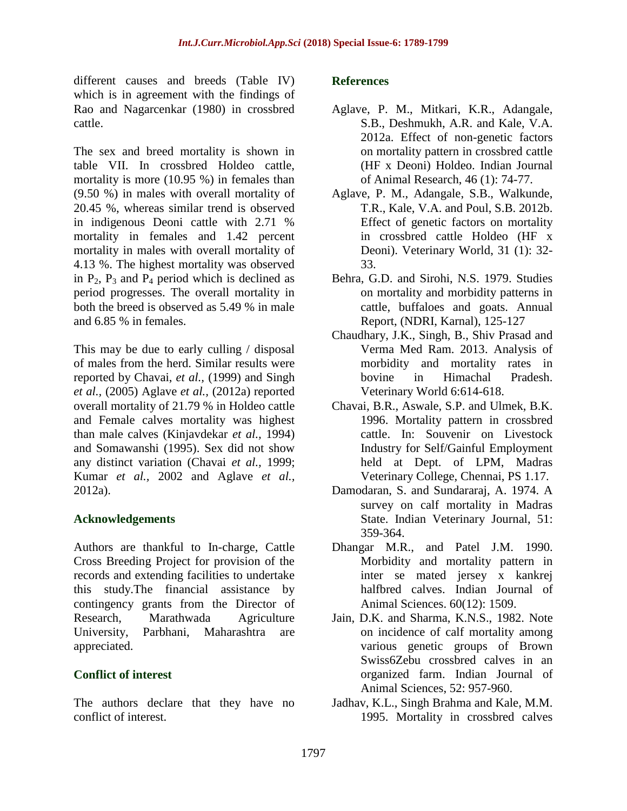different causes and breeds (Table IV) which is in agreement with the findings of Rao and Nagarcenkar (1980) in crossbred cattle.

The sex and breed mortality is shown in table VII. In crossbred Holdeo cattle, mortality is more (10.95 %) in females than (9.50 %) in males with overall mortality of 20.45 %, whereas similar trend is observed in indigenous Deoni cattle with 2.71 % mortality in females and 1.42 percent mortality in males with overall mortality of 4.13 %. The highest mortality was observed in  $P_2$ ,  $P_3$  and  $P_4$  period which is declined as period progresses. The overall mortality in both the breed is observed as 5.49 % in male and 6.85 % in females.

This may be due to early culling / disposal of males from the herd. Similar results were reported by Chavai, *et al.,* (1999) and Singh *et al.,* (2005) Aglave *et al.,* (2012a) reported overall mortality of 21.79 % in Holdeo cattle and Female calves mortality was highest than male calves (Kinjavdekar *et al.,* 1994) and Somawanshi (1995). Sex did not show any distinct variation (Chavai *et al.,* 1999; Kumar *et al.,* 2002 and Aglave *et al.,* 2012a).

# **Acknowledgements**

Authors are thankful to In-charge, Cattle Cross Breeding Project for provision of the records and extending facilities to undertake this study.The financial assistance by contingency grants from the Director of Research, Marathwada Agriculture University, Parbhani, Maharashtra are appreciated.

# **Conflict of interest**

The authors declare that they have no conflict of interest.

### **References**

- Aglave, P. M., Mitkari, K.R., Adangale, S.B., Deshmukh, A.R. and Kale, V.A. 2012a. Effect of non-genetic factors on mortality pattern in crossbred cattle (HF x Deoni) Holdeo. Indian Journal of Animal Research, 46 (1): 74-77.
- Aglave, P. M., Adangale, S.B., Walkunde, T.R., Kale, V.A. and Poul, S.B. 2012b. Effect of genetic factors on mortality in crossbred cattle Holdeo (HF x Deoni). Veterinary World, 31 (1): 32- 33.
- Behra, G.D. and Sirohi, N.S. 1979. Studies on mortality and morbidity patterns in cattle, buffaloes and goats. Annual Report, (NDRI, Karnal), 125-127
- Chaudhary, J.K., Singh, B., Shiv Prasad and Verma Med Ram. 2013. Analysis of morbidity and mortality rates in bovine in Himachal Pradesh. Veterinary World 6:614-618.
- Chavai, B.R., Aswale, S.P. and Ulmek, B.K. 1996. Mortality pattern in crossbred cattle. In: Souvenir on Livestock Industry for Self/Gainful Employment held at Dept. of LPM, Madras Veterinary College, Chennai, PS 1.17.
- Damodaran, S. and Sundararaj, A. 1974. A survey on calf mortality in Madras State. Indian Veterinary Journal, 51: 359-364.
- Dhangar M.R., and Patel J.M. 1990. Morbidity and mortality pattern in inter se mated jersey x kankrej halfbred calves. Indian Journal of Animal Sciences. 60(12): 1509.
- Jain, D.K. and Sharma, K.N.S., 1982. Note on incidence of calf mortality among various genetic groups of Brown Swiss6Zebu crossbred calves in an organized farm. Indian Journal of Animal Sciences, 52: 957-960.
- Jadhav, K.L., Singh Brahma and Kale, M.M. 1995. Mortality in crossbred calves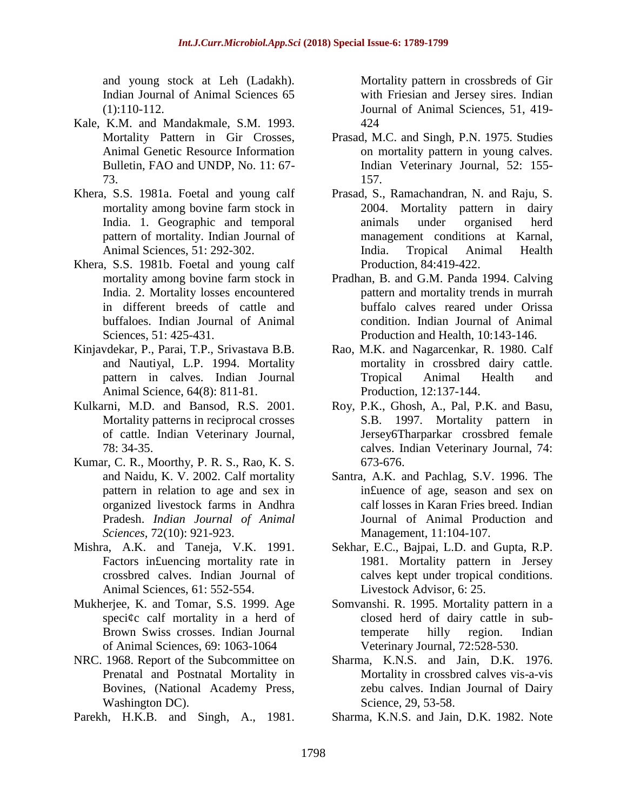and young stock at Leh (Ladakh). Indian Journal of Animal Sciences 65 (1):110-112.

- Kale, K.M. and Mandakmale, S.M. 1993. Mortality Pattern in Gir Crosses, Animal Genetic Resource Information Bulletin, FAO and UNDP, No. 11: 67- 73.
- Khera, S.S. 1981a. Foetal and young calf mortality among bovine farm stock in India. 1. Geographic and temporal pattern of mortality. Indian Journal of Animal Sciences, 51: 292-302.
- Khera, S.S. 1981b. Foetal and young calf mortality among bovine farm stock in India. 2. Mortality losses encountered in different breeds of cattle and buffaloes. Indian Journal of Animal Sciences, 51: 425-431.
- Kinjavdekar, P., Parai, T.P., Srivastava B.B. and Nautiyal, L.P. 1994. Mortality pattern in calves. Indian Journal Animal Science, 64(8): 811-81.
- Kulkarni, M.D. and Bansod, R.S. 2001. Mortality patterns in reciprocal crosses of cattle. Indian Veterinary Journal, 78: 34-35.
- Kumar, C. R., Moorthy, P. R. S., Rao, K. S. and Naidu, K. V. 2002. Calf mortality pattern in relation to age and sex in organized livestock farms in Andhra Pradesh. *Indian Journal of Animal Sciences,* 72(10): 921-923.
- Mishra, A.K. and Taneja, V.K. 1991. Factors in£uencing mortality rate in crossbred calves. Indian Journal of Animal Sciences, 61: 552-554.
- Mukherjee, K. and Tomar, S.S. 1999. Age speci¢c calf mortality in a herd of Brown Swiss crosses. Indian Journal of Animal Sciences, 69: 1063-1064
- NRC. 1968. Report of the Subcommittee on Prenatal and Postnatal Mortality in Bovines, (National Academy Press, Washington DC).
- Parekh, H.K.B. and Singh, A., 1981.

Mortality pattern in crossbreds of Gir with Friesian and Jersey sires. Indian Journal of Animal Sciences, 51, 419- 424

- Prasad, M.C. and Singh, P.N. 1975. Studies on mortality pattern in young calves. Indian Veterinary Journal, 52: 155- 157.
- Prasad, S., Ramachandran, N. and Raju, S. 2004. Mortality pattern in dairy animals under organised herd management conditions at Karnal, India. Tropical Animal Health Production, 84:419-422.
- Pradhan, B. and G.M. Panda 1994. Calving pattern and mortality trends in murrah buffalo calves reared under Orissa condition. Indian Journal of Animal Production and Health, 10:143-146.
- Rao, M.K. and Nagarcenkar, R. 1980. Calf mortality in crossbred dairy cattle. Tropical Animal Health and Production, 12:137-144.
- Roy, P.K., Ghosh, A., Pal, P.K. and Basu, S.B. 1997. Mortality pattern in Jersey6Tharparkar crossbred female calves. Indian Veterinary Journal, 74: 673-676.
- Santra, A.K. and Pachlag, S.V. 1996. The in£uence of age, season and sex on calf losses in Karan Fries breed. Indian Journal of Animal Production and Management, 11:104-107.
- Sekhar, E.C., Bajpai, L.D. and Gupta, R.P. 1981. Mortality pattern in Jersey calves kept under tropical conditions. Livestock Advisor, 6: 25.
- Somvanshi. R. 1995. Mortality pattern in a closed herd of dairy cattle in subtemperate hilly region. Indian Veterinary Journal, 72:528-530.
- Sharma, K.N.S. and Jain, D.K. 1976. Mortality in crossbred calves vis-a-vis zebu calves. Indian Journal of Dairy Science, 29, 53-58.
- Sharma, K.N.S. and Jain, D.K. 1982. Note